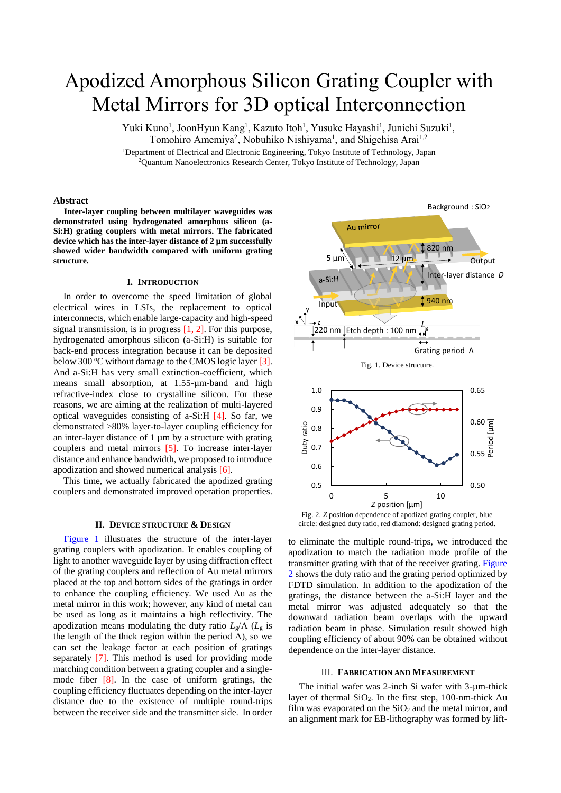# Apodized Amorphous Silicon Grating Coupler with Metal Mirrors for 3D optical Interconnection

Yuki Kuno<sup>1</sup>, JoonHyun Kang<sup>1</sup>, Kazuto Itoh<sup>1</sup>, Yusuke Hayashi<sup>1</sup>, Junichi Suzuki<sup>1</sup>, Tomohiro Amemiya<sup>2</sup>, Nobuhiko Nishiyama<sup>1</sup>, and Shigehisa Arai<sup>1,2</sup>

<sup>1</sup>Department of Electrical and Electronic Engineering, Tokyo Institute of Technology, Japan <sup>2</sup>Quantum Nanoelectronics Research Center, Tokyo Institute of Technology, Japan

## **Abstract**

**Inter-layer coupling between multilayer waveguides was demonstrated using hydrogenated amorphous silicon (a-Si:H) grating couplers with metal mirrors. The fabricated device which has the inter-layer distance of 2 µm successfully showed wider bandwidth compared with uniform grating structure.**

#### **I. INTRODUCTION**

In order to overcome the speed limitation of global electrical wires in LSIs, the replacement to optical interconnects, which enable large-capacity and high-speed signal transmission, is in progress  $[1, 2]$ . For this purpose, hydrogenated amorphous silicon (a-Si:H) is suitable for back-end process integration because it can be deposited below 300  $\degree$ C without damage to the CMOS logic layer [3]. And a-Si:H has very small extinction-coefficient, which means small absorption, at 1.55-µm-band and high refractive-index close to crystalline silicon. For these reasons, we are aiming at the realization of multi-layered optical waveguides consisting of a-Si:H [4]. So far, we demonstrated >80% layer-to-layer coupling efficiency for an inter-layer distance of 1 µm by a structure with grating couplers and metal mirrors [5]. To increase inter-layer distance and enhance bandwidth, we proposed to introduce apodization and showed numerical analysis [6].

This time, we actually fabricated the apodized grating couplers and demonstrated improved operation properties.

## **II. DEVICE STRUCTURE & DESIGN**

Figure 1 illustrates the structure of the inter-layer grating couplers with apodization. It enables coupling of light to another waveguide layer by using diffraction effect of the grating couplers and reflection of Au metal mirrors placed at the top and bottom sides of the gratings in order to enhance the coupling efficiency. We used Au as the metal mirror in this work; however, any kind of metal can be used as long as it maintains a high reflectivity. The apodization means modulating the duty ratio  $L_g/\Lambda$  ( $L_g$  is the length of the thick region within the period  $\Lambda$ ), so we can set the leakage factor at each position of gratings separately [7]. This method is used for providing mode matching condition between a grating coupler and a singlemode fiber [8]. In the case of uniform gratings, the coupling efficiency fluctuates depending on the inter-layer distance due to the existence of multiple round-trips between the receiver side and the transmitter side. In order



Fig. 2. *Z* position dependence of apodized grating coupler, blue circle: designed duty ratio, red diamond: designed grating period.

to eliminate the multiple round-trips, we introduced the apodization to match the radiation mode profile of the transmitter grating with that of the receiver grating. Figure 2 shows the duty ratio and the grating period optimized by FDTD simulation. In addition to the apodization of the gratings, the distance between the a-Si:H layer and the metal mirror was adjusted adequately so that the downward radiation beam overlaps with the upward radiation beam in phase. Simulation result showed high coupling efficiency of about 90% can be obtained without dependence on the inter-layer distance.

## III. **FABRICATION AND MEASUREMENT**

The initial wafer was 2-inch Si wafer with 3-µm-thick layer of thermal  $SiO<sub>2</sub>$ . In the first step, 100-nm-thick Au film was evaporated on the  $SiO<sub>2</sub>$  and the metal mirror, and an alignment mark for EB-lithography was formed by lift-